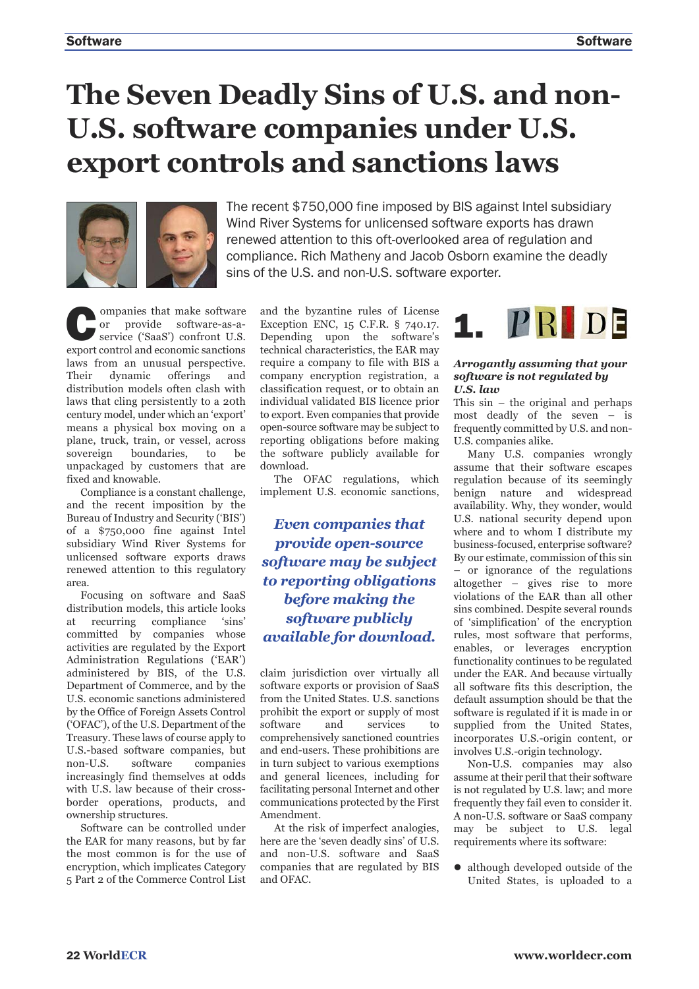## **The Seven Deadly Sins of U.S. and non-U.S. software companies under U.S. export controls and sanctions laws**



The recent \$750,000 fine imposed by BIS against Intel subsidiary Wind River Systems for unlicensed software exports has drawn renewed attention to this oft-overlooked area of regulation and compliance. Rich Matheny and Jacob Osborn examine the deadly sins of the U.S. and non-U.S. software exporter.

**Companies that make software**<br>
service ('SaaS') confront U.S.<br>
service ('SaaS') confront U.S. or provide software-as-aexport control and economic sanctions laws from an unusual perspective. Their dynamic offerings and distribution models often clash with laws that cling persistently to a 20th century model, under which an 'export' means a physical box moving on a plane, truck, train, or vessel, across sovereign boundaries, to be unpackaged by customers that are fixed and knowable.

Compliance is a constant challenge, and the recent imposition by the Bureau of Industry and Security ('BIS') of a \$750,000 fine against Intel subsidiary Wind River Systems for unlicensed software exports draws renewed attention to this regulatory area.

Focusing on software and SaaS distribution models, this article looks at recurring compliance 'sins' committed by companies whose activities are regulated by the Export Administration Regulations ('EAR') administered by BIS, of the U.S. Department of Commerce, and by the U.S. economic sanctions administered by the Office of Foreign Assets Control ('OFAC'), of the U.S. Department of the Treasury. These laws of course apply to U.S.-based software companies, but non-U.S. software companies increasingly find themselves at odds with U.S. law because of their crossborder operations, products, and ownership structures.

Software can be controlled under the EAR for many reasons, but by far the most common is for the use of encryption, which implicates Category 5 Part 2 of the Commerce Control List

and the byzantine rules of License Exception ENC, 15 C.F.R. § 740.17. Depending upon the software's technical characteristics, the EAR may require a company to file with BIS a company encryption registration, a classification request, or to obtain an individual validated BIS licence prior to export. Even companies that provide open-source software may be subject to reporting obligations before making the software publicly available for download.

The OFAC regulations, which implement U.S. economic sanctions,

*Even companies that provide open-source software may be subject to reporting obligations before making the software publicly available for download.* 

claim jurisdiction over virtually all software exports or provision of SaaS from the United States. U.S. sanctions prohibit the export or supply of most software and services to comprehensively sanctioned countries and end-users. These prohibitions are in turn subject to various exemptions and general licences, including for facilitating personal Internet and other communications protected by the First Amendment.

At the risk of imperfect analogies, here are the 'seven deadly sins' of U.S. and non-U.S. software and SaaS companies that are regulated by BIS and OFAC.



### *Arrogantly assuming that your software is not regulated by U.S. law*

This sin – the original and perhaps most deadly of the seven – is frequently committed by U.S. and non-U.S. companies alike.

Many U.S. companies wrongly assume that their software escapes regulation because of its seemingly benign nature and widespread availability. Why, they wonder, would U.S. national security depend upon where and to whom I distribute my business-focused, enterprise software? By our estimate, commission of this sin – or ignorance of the regulations altogether – gives rise to more violations of the EAR than all other sins combined. Despite several rounds of 'simplification' of the encryption rules, most software that performs, enables, or leverages encryption functionality continues to be regulated under the EAR. And because virtually all software fits this description, the default assumption should be that the software is regulated if it is made in or supplied from the United States, incorporates U.S.-origin content, or involves U.S.-origin technology.

Non-U.S. companies may also assume at their peril that their software is not regulated by U.S. law; and more frequently they fail even to consider it. A non-U.S. software or SaaS company may be subject to U.S. legal requirements where its software:

 $\bullet$  although developed outside of the United States, is uploaded to a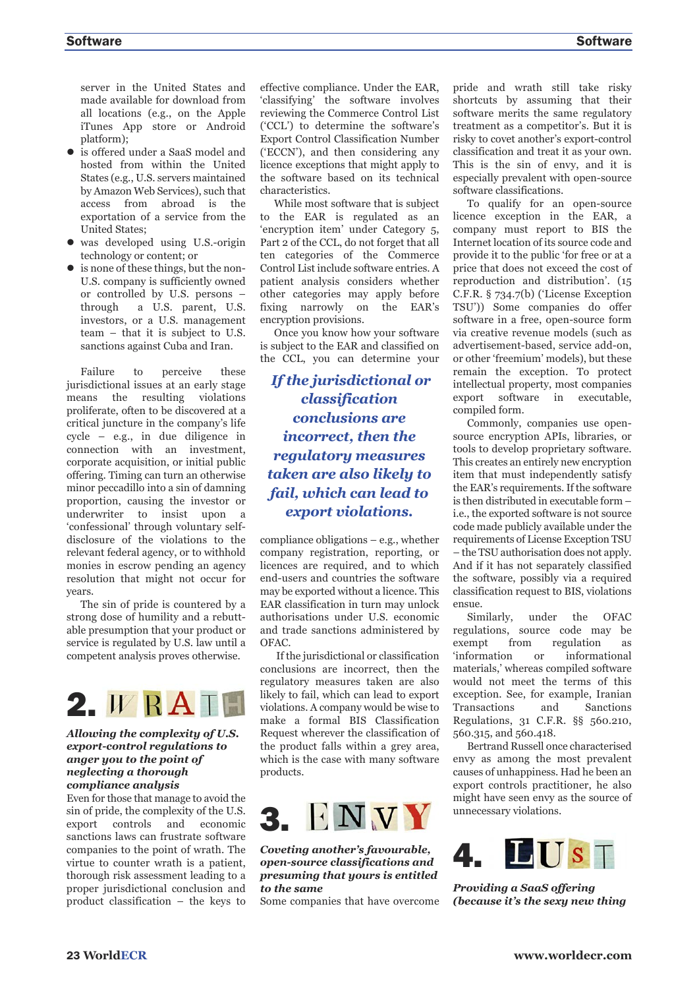server in the United States and made available for download from all locations (e.g., on the Apple iTunes App store or Android platform);

- is offered under a SaaS model and hosted from within the United States (e.g., U.S. servers maintained by Amazon Web Services), such that access from abroad is the exportation of a service from the United States;
- $\bullet$  was developed using U.S.-origin technology or content; or
- is none of these things, but the non-U.S. company is sufficiently owned or controlled by U.S. persons – through a U.S. parent, U.S. investors, or a U.S. management team – that it is subject to U.S. sanctions against Cuba and Iran.

Failure to perceive these jurisdictional issues at an early stage means the resulting violations proliferate, often to be discovered at a critical juncture in the company's life cycle – e.g., in due diligence in connection with an investment, corporate acquisition, or initial public offering. Timing can turn an otherwise minor peccadillo into a sin of damning proportion, causing the investor or underwriter to insist upon a 'confessional' through voluntary selfdisclosure of the violations to the relevant federal agency, or to withhold monies in escrow pending an agency resolution that might not occur for years.

The sin of pride is countered by a strong dose of humility and a rebutt able presumption that your product or service is regulated by U.S. law until a competent analysis proves otherwise.



## *Allowing the complexity of U.S. export-control regulations to anger you to the point of neglect ing a thorough compliance analysis*

Even for those that manage to avoid the sin of pride, the complexity of the U.S. export controls and economic sanctions laws can frustrate software companies to the point of wrath. The virtue to counter wrath is a patient, thorough risk assessment leading to a proper jurisdictional conclusion and product classification – the keys to effective compliance. Under the EAR, 'classifying' the software involves reviewing the Commerce Control List ('CCL') to determine the software's Export Control Classification Number ('ECCN'), and then considering any licence exceptions that might apply to the software based on its technical characteristics.

While most software that is subject to the EAR is regulated as an 'encryption item' under Category 5, Part 2 of the CCL, do not forget that all ten categories of the Commerce Control List include software entries. A patient analysis considers whether other categories may apply before fixing narrowly on the EAR's encryption provisions.

Once you know how your software is subject to the EAR and classified on the CCL, you can determine your

*If the jurisdictional or classification conclusions are incorrect, then the regulatory measures taken are also likely to fail, which can lead to export violations.*

compliance obligations – e.g., whether company registration, reporting, or licences are required, and to which end-users and countries the software may be exported without a licence. This EAR classification in turn may unlock authorisations under U.S. economic and trade sanctions administered by OFAC.

If the jurisdictional or classification conclusions are incorrect, then the regulatory measures taken are also likely to fail, which can lead to export violations. A company would be wise to make a formal BIS Classification Request wherever the classification of the product falls within a grey area, which is the case with many software products.



*Coveting another's favourable, open-source classifications and presuming that yours is entitled to the same*

Some companies that have overcome

pride and wrath still take risky shortcuts by assuming that their software merits the same regulatory treatment as a competitor's. But it is risky to covet another's export-control classification and treat it as your own. This is the sin of envy, and it is especially prevalent with open-source software classifications.

To qualify for an open-source licence exception in the EAR, a company must report to BIS the Internet location of its source code and provide it to the public 'for free or at a price that does not exceed the cost of reproduction and distribution'. (15 C.F.R. § 734.7(b) ('License Exception TSU')) Some companies do offer software in a free, open-source form via creative revenue models (such as advertisement-based, service add-on, or other 'freemium' models), but these remain the exception. To protect intellectual property, most companies export software in executable, compiled form.

Commonly, companies use opensource encryption APIs, libraries, or tools to develop proprietary software. This creates an entirely new encryption item that must independently satisfy the EAR's requirements. If the software is then distributed in executable form – i.e., the exported software is not source code made publicly available under the requirements of License Exception TSU – the TSU authorisation does not apply. And if it has not separately classified the software, possibly via a required classification request to BIS, violations ensue.

Similarly, under the OFAC regulations, source code may be exempt from regulation as 'information or informational materials,' whereas compiled software would not meet the terms of this exception. See, for example, Iranian Transactions and Sanctions Regulations, 31 C.F.R. §§ 560.210, 560.315, and 560.418.

Bertrand Russell once characterised envy as among the most prevalent causes of unhappiness. Had he been an export controls practitioner, he also might have seen envy as the source of unnecessary violations.



*Providing a SaaS offering (because it's the sexy new thing*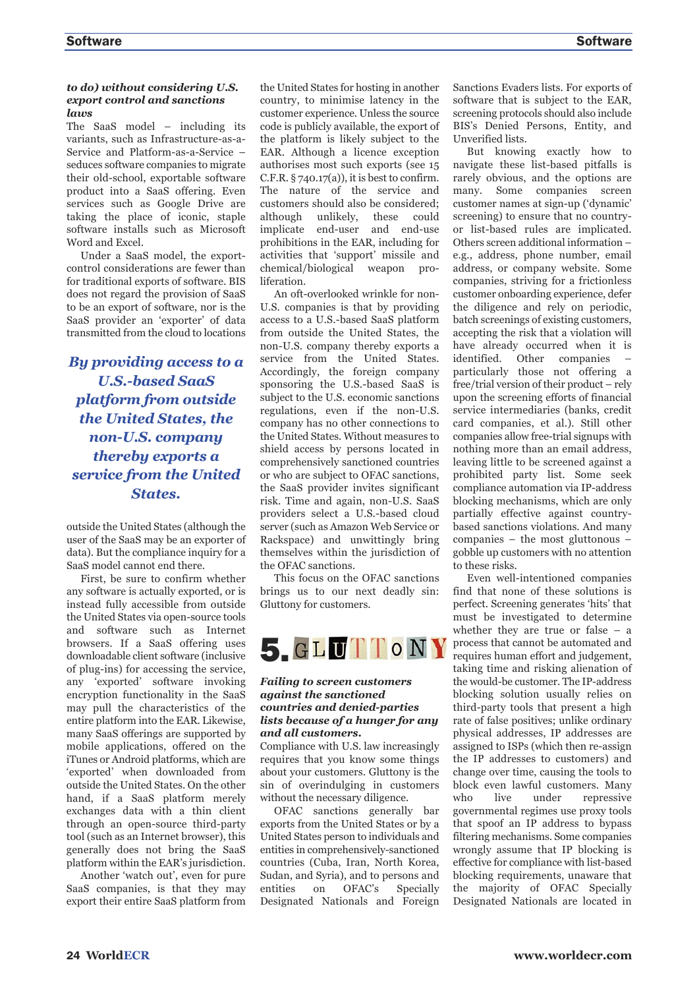## *to do) without considering U.S. export control and sanctions laws*

The SaaS model – including its variants, such as Infrastructure-as-a-Service and Platform-as-a-Service – seduces software companies to migrate their old-school, exportable software product into a SaaS offering. Even services such as Google Drive are taking the place of iconic, staple software installs such as Microsoft Word and Excel.

Under a SaaS model, the exportcontrol considerations are fewer than for traditional exports of software. BIS does not regard the provision of SaaS to be an export of software, nor is the SaaS provider an 'exporter' of data transmitted from the cloud to locations

*By providing access to a U.S.-based SaaS platform from outside the United States, the non-U.S. company thereby exports a service from the United States.* 

outside the United States (although the user of the SaaS may be an exporter of data). But the compliance inquiry for a SaaS model cannot end there.

First, be sure to confirm whether any software is actually exported, or is instead fully accessible from outside the United States via open-source tools and software such as Internet browsers. If a SaaS offering uses downloadable client software (inclusive of plug-ins) for accessing the service, any 'exported' software invoking encryption functionality in the SaaS may pull the characteristics of the entire platform into the EAR. Likewise, many SaaS offerings are supported by mobile applications, offered on the iTunes or Android platforms, which are 'exported' when downloaded from outside the United States. On the other hand, if a SaaS platform merely exchanges data with a thin client through an open-source third-party tool (such as an Internet browser), this generally does not bring the SaaS platform within the EAR's jurisdiction.

Another 'watch out', even for pure SaaS companies, is that they may export their entire SaaS platform from the United States for hosting in another country, to minimise latency in the customer experience. Unless the source code is publicly available, the export of the platform is likely subject to the EAR. Although a licence exception authorises most such exports (see 15 C.F.R.  $\S$  740.17(a)), it is best to confirm. The nature of the service and customers should also be considered; although unlikely, these could implicate end-user and end-use prohibitions in the EAR, including for activities that 'support' missile and chemical/biological weapon proliferation.

An oft-overlooked wrinkle for non-U.S. companies is that by providing access to a U.S.-based SaaS platform from outside the United States, the non-U.S. company thereby exports a service from the United States. Accordingly, the foreign company sponsoring the U.S.-based SaaS is subject to the U.S. economic sanctions regulations, even if the non-U.S. company has no other connections to the United States. Without measures to shield access by persons located in comprehensively sanctioned countries or who are subject to OFAC sanctions, the SaaS provider invites significant risk. Time and again, non-U.S. SaaS providers select a U.S.-based cloud server (such as Amazon Web Service or Rackspace) and unwittingly bring themselves within the jurisdiction of the OFAC sanctions.

This focus on the OFAC sanctions brings us to our next deadly sin: Gluttony for customers.



## *Failing to screen customers against the sanctioned countries and denied-parties lists because of a hunger for any and all customers.*

Compliance with U.S. law increasingly requires that you know some things about your customers. Gluttony is the sin of overindulging in customers without the necessary diligence.

OFAC sanctions generally bar exports from the United States or by a United States person to individuals and entities in comprehensively-sanctioned countries (Cuba, Iran, North Korea, Sudan, and Syria), and to persons and entities on OFAC's Specially Designated Nationals and Foreign Sanctions Evaders lists. For exports of software that is subject to the EAR, screening protocols should also include BIS's Denied Persons, Entity, and Unverified lists.

But knowing exactly how to navigate these list-based pitfalls is rarely obvious, and the options are many. Some companies screen customer names at sign-up ('dynamic' screening) to ensure that no countryor list-based rules are implicated. Others screen additional information – e.g., address, phone number, email address, or company website. Some companies, striving for a frictionless customer onboarding experience, defer the diligence and rely on periodic, batch screenings of existing customers, accepting the risk that a violation will have already occurred when it is identified. Other companies – particularly those not offering a free/trial version of their product – rely upon the screening efforts of financial service intermediaries (banks, credit card companies, et al.). Still other companies allow free-trial signups with nothing more than an email address, leaving little to be screened against a prohibited party list. Some seek compliance automation via IP-address blocking mechanisms, which are only partially effective against countrybased sanctions violations. And many companies – the most gluttonous – gobble up customers with no attention to these risks.

Even well-intentioned companies find that none of these solutions is perfect. Screening generates 'hits' that must be investigated to determine whether they are true or false – a process that cannot be automated and requires human effort and judgement, taking time and risking alienation of the would-be customer. The IP-address blocking solution usually relies on third-party tools that present a high rate of false positives; unlike ordinary physical addresses, IP addresses are assigned to ISPs (which then re-assign the IP addresses to customers) and change over time, causing the tools to block even lawful customers. Many who live under repressive governmental regimes use proxy tools that spoof an IP address to bypass filtering mechanisms. Some companies wrongly assume that IP blocking is effective for compliance with list-based blocking requirements, unaware that the majority of OFAC Specially Designated Nationals are located in